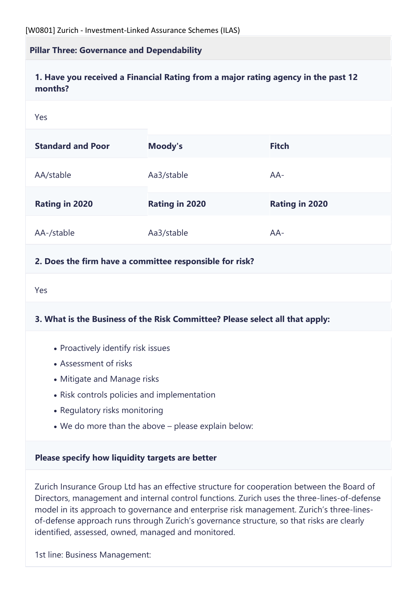#### **Pillar Three: Governance and Dependability**

#### **1. Have you received a Financial Rating from a major rating agency in the past 12 months?**

#### Yes

| <b>Standard and Poor</b> | Moody's               | <b>Fitch</b>          |
|--------------------------|-----------------------|-----------------------|
| AA/stable                | Aa3/stable            | $AA-$                 |
| <b>Rating in 2020</b>    | <b>Rating in 2020</b> | <b>Rating in 2020</b> |
| AA-/stable               | Aa3/stable            | $AA-$                 |

#### **2. Does the firm have a committee responsible for risk?**

Yes

#### **3. What is the Business of the Risk Committee? Please select all that apply:**

- Proactively identify risk issues
- Assessment of risks
- Mitigate and Manage risks
- Risk controls policies and implementation
- Regulatory risks monitoring
- We do more than the above please explain below:

#### **Please specify how liquidity targets are better**

Zurich Insurance Group Ltd has an effective structure for cooperation between the Board of Directors, management and internal control functions. Zurich uses the three-lines-of-defense model in its approach to governance and enterprise risk management. Zurich's three-linesof-defense approach runs through Zurich's governance structure, so that risks are clearly identified, assessed, owned, managed and monitored.

1st line: Business Management: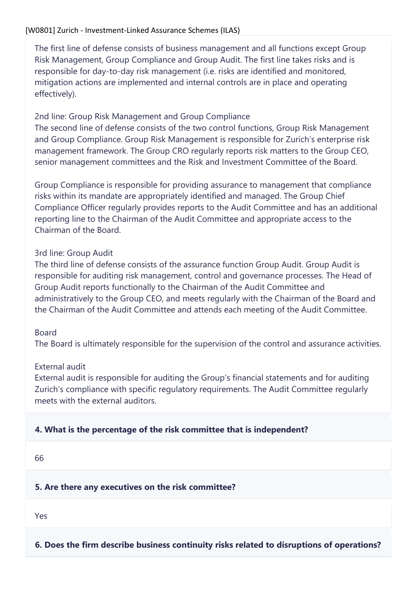#### [W0801] Zurich - Investment-Linked Assurance Schemes (ILAS)

The first line of defense consists of business management and all functions except Group Risk Management, Group Compliance and Group Audit. The first line takes risks and is responsible for day-to-day risk management (i.e. risks are identified and monitored, mitigation actions are implemented and internal controls are in place and operating effectively).

### 2nd line: Group Risk Management and Group Compliance

The second line of defense consists of the two control functions, Group Risk Management and Group Compliance. Group Risk Management is responsible for Zurich's enterprise risk management framework. The Group CRO regularly reports risk matters to the Group CEO, senior management committees and the Risk and Investment Committee of the Board.

Group Compliance is responsible for providing assurance to management that compliance risks within its mandate are appropriately identified and managed. The Group Chief Compliance Officer regularly provides reports to the Audit Committee and has an additional reporting line to the Chairman of the Audit Committee and appropriate access to the Chairman of the Board.

### 3rd line: Group Audit

The third line of defense consists of the assurance function Group Audit. Group Audit is responsible for auditing risk management, control and governance processes. The Head of Group Audit reports functionally to the Chairman of the Audit Committee and administratively to the Group CEO, and meets regularly with the Chairman of the Board and the Chairman of the Audit Committee and attends each meeting of the Audit Committee.

### Board

The Board is ultimately responsible for the supervision of the control and assurance activities.

### External audit

External audit is responsible for auditing the Group's financial statements and for auditing Zurich's compliance with specific regulatory requirements. The Audit Committee regularly meets with the external auditors.

## **4. What is the percentage of the risk committee that is independent?**

66

### **5. Are there any executives on the risk committee?**

Yes

## **6. Does the firm describe business continuity risks related to disruptions of operations?**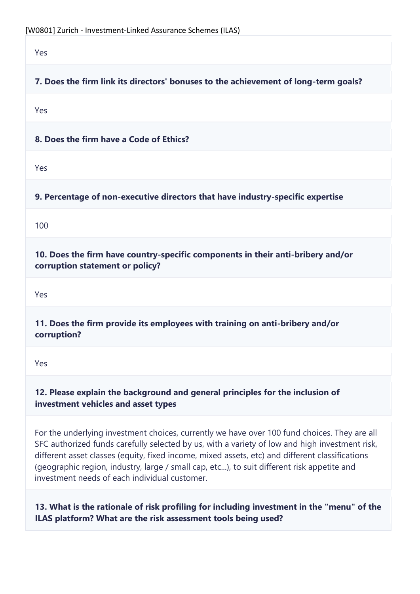Yes

# **7. Does the firm link its directors' bonuses to the achievement of long-term goals?**

Yes

**8. Does the firm have a Code of Ethics?**

Yes

**9. Percentage of non-executive directors that have industry-specific expertise**

100

**10. Does the firm have country-specific components in their anti-bribery and/or corruption statement or policy?**

Yes

**11. Does the firm provide its employees with training on anti-bribery and/or corruption?**

Yes

## **12. Please explain the background and general principles for the inclusion of investment vehicles and asset types**

For the underlying investment choices, currently we have over 100 fund choices. They are all SFC authorized funds carefully selected by us, with a variety of low and high investment risk, different asset classes (equity, fixed income, mixed assets, etc) and different classifications (geographic region, industry, large / small cap, etc...), to suit different risk appetite and investment needs of each individual customer.

**13. What is the rationale of risk profiling for including investment in the "menu" of the ILAS platform? What are the risk assessment tools being used?**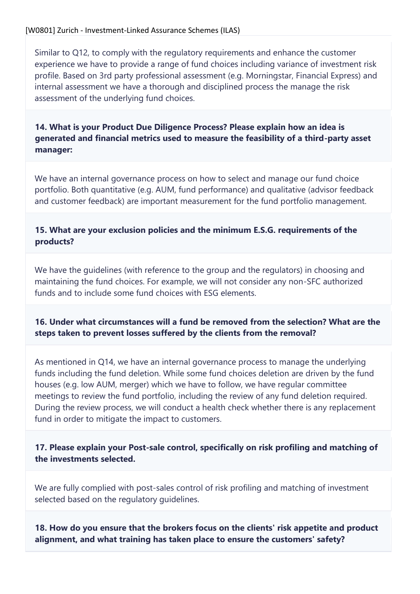Similar to Q12, to comply with the regulatory requirements and enhance the customer experience we have to provide a range of fund choices including variance of investment risk profile. Based on 3rd party professional assessment (e.g. Morningstar, Financial Express) and internal assessment we have a thorough and disciplined process the manage the risk assessment of the underlying fund choices.

## **14. What is your Product Due Diligence Process? Please explain how an idea is generated and financial metrics used to measure the feasibility of a third-party asset manager:**

We have an internal governance process on how to select and manage our fund choice portfolio. Both quantitative (e.g. AUM, fund performance) and qualitative (advisor feedback and customer feedback) are important measurement for the fund portfolio management.

## **15. What are your exclusion policies and the minimum E.S.G. requirements of the products?**

We have the guidelines (with reference to the group and the regulators) in choosing and maintaining the fund choices. For example, we will not consider any non-SFC authorized funds and to include some fund choices with ESG elements.

## **16. Under what circumstances will a fund be removed from the selection? What are the steps taken to prevent losses suffered by the clients from the removal?**

As mentioned in Q14, we have an internal governance process to manage the underlying funds including the fund deletion. While some fund choices deletion are driven by the fund houses (e.g. low AUM, merger) which we have to follow, we have regular committee meetings to review the fund portfolio, including the review of any fund deletion required. During the review process, we will conduct a health check whether there is any replacement fund in order to mitigate the impact to customers.

**17. Please explain your Post-sale control, specifically on risk profiling and matching of the investments selected.**

We are fully complied with post-sales control of risk profiling and matching of investment selected based on the regulatory guidelines.

**18. How do you ensure that the brokers focus on the clients' risk appetite and product alignment, and what training has taken place to ensure the customers' safety?**